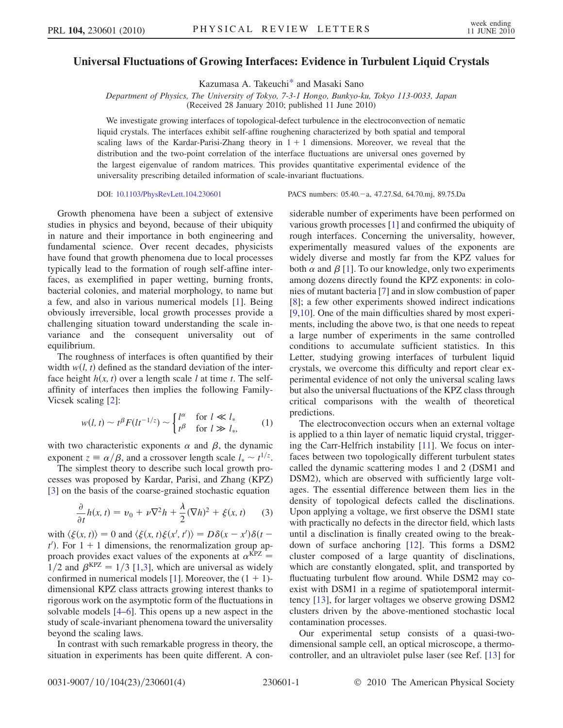## <span id="page-0-2"></span>Universal Fluctuations of Growing Interfaces: Evidence in Turbulent Liquid Crystals

Kazumasa A. Takeuch[i\\*](#page-3-0) and Masaki Sano

Department of Physics, The University of Tokyo, 7-3-1 Hongo, Bunkyo-ku, Tokyo 113-0033, Japan

(Received 28 January 2010; published 11 June 2010)

We investigate growing interfaces of topological-defect turbulence in the electroconvection of nematic liquid crystals. The interfaces exhibit self-affine roughening characterized by both spatial and temporal scaling laws of the Kardar-Parisi-Zhang theory in  $1 + 1$  dimensions. Moreover, we reveal that the distribution and the two-point correlation of the interface fluctuations are universal ones governed by the largest eigenvalue of random matrices. This provides quantitative experimental evidence of the universality prescribing detailed information of scale-invariant fluctuations.

DOI: [10.1103/PhysRevLett.104.230601](http://dx.doi.org/10.1103/PhysRevLett.104.230601) PACS numbers: 05.40. - a, 47.27.Sd, 64.70.mj, 89.75.Da

Growth phenomena have been a subject of extensive studies in physics and beyond, because of their ubiquity in nature and their importance in both engineering and fundamental science. Over recent decades, physicists have found that growth phenomena due to local processes typically lead to the formation of rough self-affine interfaces, as exemplified in paper wetting, burning fronts, bacterial colonies, and material morphology, to name but a few, and also in various numerical models [\[1](#page-3-1)]. Being obviously irreversible, local growth processes provide a challenging situation toward understanding the scale invariance and the consequent universality out of equilibrium.

The roughness of interfaces is often quantified by their width  $w(l, t)$  defined as the standard deviation of the interface height  $h(x, t)$  over a length scale l at time t. The selfaffinity of interfaces then implies the following Family-Vicsek scaling [[2\]](#page-3-2):

<span id="page-0-0"></span>
$$
w(l, t) \sim t^{\beta} F(l t^{-1/z}) \sim \begin{cases} l^{\alpha} & \text{for } l \ll l_* \\ t^{\beta} & \text{for } l \gg l_*, \end{cases} \tag{1}
$$

with two characteristic exponents  $\alpha$  and  $\beta$ , the dynamic exponent  $z = \alpha/\beta$ , and a crossover length scale  $l_* \sim t^{1/z}$ .

<span id="page-0-1"></span>The simplest theory to describe such local growth processes was proposed by Kardar, Parisi, and Zhang (KPZ) [\[3\]](#page-3-3) on the basis of the coarse-grained stochastic equation

$$
\frac{\partial}{\partial t}h(x,t) = v_0 + \nu \nabla^2 h + \frac{\lambda}{2} (\nabla h)^2 + \xi(x,t) \tag{3}
$$

with  $\langle \xi(x, t) \rangle = 0$  and  $\langle \xi(x, t) \xi(x', t') \rangle = D\delta(x - x')\delta(t$  $t'$ ). For  $1 + 1$  dimensions, the renormalization group approach provides exact values of the exponents at  $\alpha^{KPZ} =$  $1/2$  $1/2$  and  $\beta^{KPZ} = 1/3$  [1,[3\]](#page-3-3), which are universal as widely confirmed in numerical models [\[1](#page-3-1)]. Moreover, the  $(1 + 1)$ dimensional KPZ class attracts growing interest thanks to rigorous work on the asymptotic form of the fluctuations in solvable models [[4](#page-3-4)[–6\]](#page-3-5). This opens up a new aspect in the study of scale-invariant phenomena toward the universality beyond the scaling laws.

In contrast with such remarkable progress in theory, the situation in experiments has been quite different. A considerable number of experiments have been performed on various growth processes [[1\]](#page-3-1) and confirmed the ubiquity of rough interfaces. Concerning the universality, however, experimentally measured values of the exponents are widely diverse and mostly far from the KPZ values for both  $\alpha$  and  $\beta$  [\[1](#page-3-1)]. To our knowledge, only two experiments among dozens directly found the KPZ exponents: in colonies of mutant bacteria [\[7](#page-3-6)] and in slow combustion of paper [\[8\]](#page-3-7); a few other experiments showed indirect indications [\[9,](#page-3-8)[10\]](#page-3-9). One of the main difficulties shared by most experiments, including the above two, is that one needs to repeat a large number of experiments in the same controlled conditions to accumulate sufficient statistics. In this Letter, studying growing interfaces of turbulent liquid crystals, we overcome this difficulty and report clear experimental evidence of not only the universal scaling laws but also the universal fluctuations of the KPZ class through critical comparisons with the wealth of theoretical predictions.

The electroconvection occurs when an external voltage is applied to a thin layer of nematic liquid crystal, triggering the Carr-Helfrich instability [[11](#page-3-10)]. We focus on interfaces between two topologically different turbulent states called the dynamic scattering modes 1 and 2 (DSM1 and DSM2), which are observed with sufficiently large voltages. The essential difference between them lies in the density of topological defects called the disclinations. Upon applying a voltage, we first observe the DSM1 state with practically no defects in the director field, which lasts until a disclination is finally created owing to the breakdown of surface anchoring [\[12\]](#page-3-11). This forms a DSM2 cluster composed of a large quantity of disclinations, which are constantly elongated, split, and transported by fluctuating turbulent flow around. While DSM2 may coexist with DSM1 in a regime of spatiotemporal intermittency [\[13\]](#page-3-12), for larger voltages we observe growing DSM2 clusters driven by the above-mentioned stochastic local contamination processes.

Our experimental setup consists of a quasi-twodimensional sample cell, an optical microscope, a thermocontroller, and an ultraviolet pulse laser (see Ref. [[13](#page-3-12)] for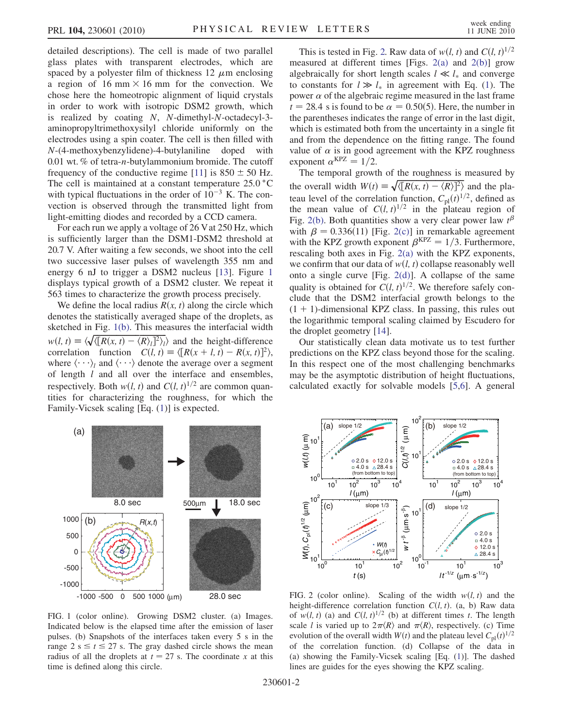detailed descriptions). The cell is made of two parallel glass plates with transparent electrodes, which are spaced by a polyester film of thickness 12  $\mu$ m enclosing a region of 16 mm  $\times$  16 mm for the convection. We chose here the homeotropic alignment of liquid crystals in order to work with isotropic DSM2 growth, which is realized by coating N, N-dimethyl-N-octadecyl-3 aminopropyltrimethoxysilyl chloride uniformly on the electrodes using a spin coater. The cell is then filled with N-(4-methoxybenzylidene)-4-butylaniline doped with 0.01 wt. % of tetra-n-butylammonium bromide. The cutoff frequency of the conductive regime [\[11\]](#page-3-10) is  $850 \pm 50$  Hz. The cell is maintained at a constant temperature  $25.0\degree$ C with typical fluctuations in the order of  $10^{-3}$  K. The convection is observed through the transmitted light from light-emitting diodes and recorded by a CCD camera.

For each run we apply a voltage of 26 Vat 250 Hz, which is sufficiently larger than the DSM1-DSM2 threshold at 20.7 V. After waiting a few seconds, we shoot into the cell two successive laser pulses of wavelength 355 nm and energy 6 nJ to trigger a DSM2 nucleus [\[13\]](#page-3-12). Figure [1](#page-1-0) displays typical growth of a DSM2 cluster. We repeat it 563 times to characterize the growth process precisely.

We define the local radius  $R(x, t)$  along the circle which denotes the statistically averaged shape of the droplets, as sketched in Fig. [1\(b\).](#page-1-1) This measures the interfacial width  $w(l, t) \equiv \langle \sqrt{\langle [R(x, t) - \langle R \rangle] \, ]^2 \rangle_l} \rangle$  and the height-difference correlation function  $C(l, t) \equiv \langle [R(x + l, t) - R(x, t)]^2 \rangle$ , where  $\langle \cdots \rangle_i$  and  $\langle \cdots \rangle$  denote the average over a segment of length  $l$  and all over the interface and ensembles, respectively. Both  $w(l, t)$  and  $C(l, t)^{1/2}$  are common quantities for characterizing the roughness, for which the Family-Vicsek scaling [Eq. ([1\)](#page-0-0)] is expected.

This is tested in Fig. [2.](#page-1-2) Raw data of  $w(l, t)$  and  $C(l, t)^{1/2}$ measured at different times [Figs.  $2(a)$  and  $2(b)$ ] grow algebraically for short length scales  $l \ll l_*$  and converge to constants for  $l \gg l_*$  in agreement with Eq. ([1\)](#page-0-0). The power  $\alpha$  of the algebraic regime measured in the last frame  $t = 28.4$  s is found to be  $\alpha = 0.50(5)$ . Here, the number in the parentheses indicates the range of error in the last digit, which is estimated both from the uncertainty in a single fit and from the dependence on the fitting range. The found value of  $\alpha$  is in good agreement with the KPZ roughness exponent  $\alpha^{KPZ} = 1/2$ .

The temporal growth of the roughness is measured by the overall width  $W(t) \equiv \sqrt{\langle [R(x, t) - \langle R \rangle]^2 \rangle}$  and the plateau level of the correlation function,  $C_{\text{pl}}(t)^{1/2}$ , defined as the mean value of  $C(l, t)^{1/2}$  in the plateau region of Fig. [2\(b\)](#page-1-3). Both quantities show a very clear power law  $t^{\beta}$ with  $\beta = 0.336(11)$  [Fig. [2\(c\)](#page-1-3)] in remarkable agreement with the KPZ growth exponent  $\beta^{KPZ} = 1/3$ . Furthermore, rescaling both axes in Fig. [2\(a\)](#page-1-3) with the KPZ exponents, we confirm that our data of  $w(l, t)$  collapse reasonably well onto a single curve [Fig. [2\(d\)](#page-1-3)]. A collapse of the same quality is obtained for  $C(l, t)^{1/2}$ . We therefore safely conclude that the DSM2 interfacial growth belongs to the  $(1 + 1)$ -dimensional KPZ class. In passing, this rules out the logarithmic temporal scaling claimed by Escudero for the droplet geometry [[14](#page-3-13)].

Our statistically clean data motivate us to test further predictions on the KPZ class beyond those for the scaling. In this respect one of the most challenging benchmarks may be the asymptotic distribution of height fluctuations, calculated exactly for solvable models [[5,](#page-3-14)[6\]](#page-3-5). A general

<span id="page-1-0"></span>

<span id="page-1-1"></span>FIG. 1 (color online). Growing DSM2 cluster. (a) Images. Indicated below is the elapsed time after the emission of laser pulses. (b) Snapshots of the interfaces taken every 5 s in the range  $2 s \le t \le 27 s$ . The gray dashed circle shows the mean radius of all the droplets at  $t = 27$  s. The coordinate x at this time is defined along this circle.

<span id="page-1-2"></span>

<span id="page-1-3"></span>FIG. 2 (color online). Scaling of the width  $w(l, t)$  and the height-difference correlation function  $C(l, t)$ . (a, b) Raw data of  $w(l, t)$  (a) and  $C(l, t)^{1/2}$  (b) at different times t. The length scale *l* is varied up to  $2\pi \langle R \rangle$  and  $\pi \langle R \rangle$ , respectively. (c) Time evolution of the overall width  $W(t)$  and the plateau level  $C_{\text{pl}}(t)^{1/2}$ of the correlation function. (d) Collapse of the data in (a) showing the Family-Vicsek scaling [Eq. ([1\)](#page-0-0)]. The dashed lines are guides for the eyes showing the KPZ scaling.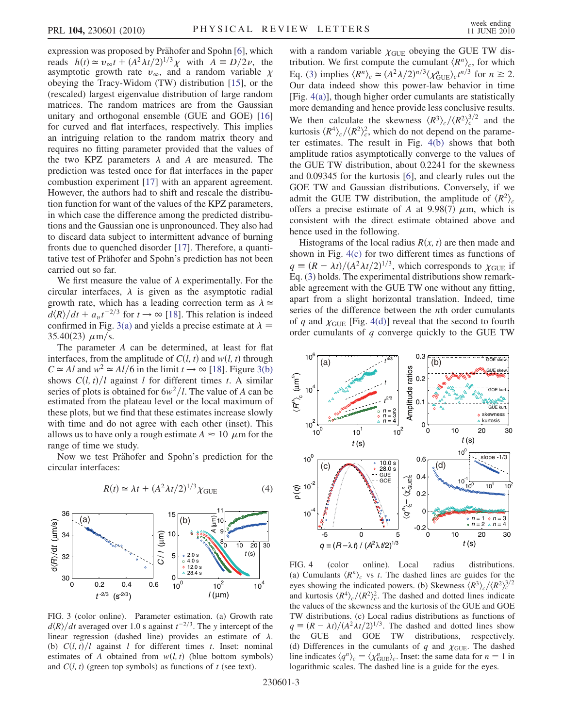expression was proposed by Prähofer and Spohn [[6](#page-3-5)], which reads  $h(t) \approx v_{\infty} t + (A^2 \lambda t/2)^{1/3} \chi$  with  $A = D/2\nu$ , the asymptotic growth rate  $v_{\infty}$ , and a random variable  $\chi$ obeying the Tracy-Widom (TW) distribution [\[15\]](#page-3-15), or the (rescaled) largest eigenvalue distribution of large random matrices. The random matrices are from the Gaussian unitary and orthogonal ensemble (GUE and GOE) [\[16\]](#page-3-16) for curved and flat interfaces, respectively. This implies an intriguing relation to the random matrix theory and requires no fitting parameter provided that the values of the two KPZ parameters  $\lambda$  and A are measured. The prediction was tested once for flat interfaces in the paper combustion experiment [\[17\]](#page-3-17) with an apparent agreement. However, the authors had to shift and rescale the distribution function for want of the values of the KPZ parameters, in which case the difference among the predicted distributions and the Gaussian one is unpronounced. They also had to discard data subject to intermittent advance of burning fronts due to quenched disorder [[17](#page-3-17)]. Therefore, a quantitative test of Prähofer and Spohn's prediction has not been carried out so far.

We first measure the value of  $\lambda$  experimentally. For the circular interfaces,  $\lambda$  is given as the asymptotic radial growth rate, which has a leading correction term as  $\lambda \approx$  $d\langle R \rangle/dt + a_v t^{-2/3}$  for  $t \to \infty$  [\[18\]](#page-3-18). This relation is indeed confirmed in Fig. [3\(a\)](#page-2-0) and yields a precise estimate at  $\lambda =$  $35.40(23) \mu m/s$ .

The parameter A can be determined, at least for flat interfaces, from the amplitude of  $C(l, t)$  and  $w(l, t)$  through  $C \simeq Al$  and  $w^2 \simeq Al/6$  in the limit  $t \to \infty$  [[18](#page-3-18)]. Figure [3\(b\)](#page-2-0) shows  $C(l, t)/l$  against l for different times t. A similar series of plots is obtained for  $6w^2/l$ . The value of A can be estimated from the plateau level or the local maximum of these plots, but we find that these estimates increase slowly with time and do not agree with each other (inset). This allows us to have only a rough estimate  $A \approx 10 \mu$ m for the range of time we study.

Now we test Prähofer and Spohn's prediction for the circular interfaces:

$$
R(t) \simeq \lambda t + (A^2 \lambda t / 2)^{1/3} \chi_{\text{GUE}} \tag{4}
$$



<span id="page-2-0"></span>FIG. 3 (color online). Parameter estimation. (a) Growth rate  $\frac{d\langle R \rangle}{dt}$  averaged over 1.0 s against  $t^{-2/3}$ . The y intercept of the linear regression (dashed line) provides an estimate of  $\lambda$ . (b)  $C(l, t)/l$  against l for different times t. Inset: nominal estimates of A obtained from  $w(l, t)$  (blue bottom symbols) and  $C(l, t)$  (green top symbols) as functions of t (see text).

with a random variable  $\chi$ <sub>GUE</sub> obeying the GUE TW distribution. We first compute the cumulant  $\langle R^n \rangle_c$ , for which Eq. [\(3](#page-0-1)) implies  $\langle R^n \rangle_c \simeq (A^2 \lambda/2)^{n/3} \langle \chi_{\text{GUE}}^n \rangle_c t^{n/3}$  for  $n \ge 2$ . Our data indeed show this power-law behavior in time [Fig. [4\(a\)\]](#page-2-1), though higher order cumulants are statistically more demanding and hence provide less conclusive results. We then calculate the skewness  $\langle R^3 \rangle_c / \langle R^2 \rangle_c^{3/2}$  and the kurtosis  $\langle R^4 \rangle_c / \langle R^2 \rangle_c^2$ , which do not depend on the parameter estimates. The result in Fig. [4\(b\)](#page-2-1) shows that both amplitude ratios asymptotically converge to the values of the GUE TW distribution, about 0.2241 for the skewness and 0.09345 for the kurtosis [[6\]](#page-3-5), and clearly rules out the GOE TW and Gaussian distributions. Conversely, if we admit the GUE TW distribution, the amplitude of  $\langle R^2 \rangle_c$ offers a precise estimate of A at 9.98(7)  $\mu$ m, which is consistent with the direct estimate obtained above and hence used in the following.

Histograms of the local radius  $R(x, t)$  are then made and shown in Fig. [4\(c\)](#page-2-1) for two different times as functions of  $q \equiv (R - \lambda t)/(A^2 \lambda t/2)^{1/3}$ , which corresponds to  $\chi_{\text{GUE}}$  if Eq. ([3](#page-0-1)) holds. The experimental distributions show remarkable agreement with the GUE TW one without any fitting, apart from a slight horizontal translation. Indeed, time series of the difference between the *n*th order cumulants of q and  $\chi$ <sub>GUE</sub> [Fig. [4\(d\)](#page-2-1)] reveal that the second to fourth order cumulants of  $q$  converge quickly to the GUE TW



<span id="page-2-1"></span>FIG. 4 (color online). Local radius distributions. (a) Cumulants  $\langle R^n \rangle_c$  vs t. The dashed lines are guides for the eyes showing the indicated powers. (b) Skewness  $\langle R^3 \rangle_c / \langle R^2 \rangle_c^{3/2}$ and kurtosis  $\langle R^4 \rangle_c / \langle R^2 \rangle_c^2$ . The dashed and dotted lines indicate the values of the skewness and the kurtosis of the GUE and GOE TW distributions. (c) Local radius distributions as functions of  $q \equiv (R - \lambda t)/(A^2 \lambda t/2)^{1/3}$ . The dashed and dotted lines show the GUE and GOE TW distributions, respectively. (d) Differences in the cumulants of q and  $\chi$ <sub>GUE</sub>. The dashed line indicates  $\langle q^n \rangle_c = \langle \chi_{\text{GUE}}^n \rangle_c$ . Inset: the same data for  $n = 1$  in logarithmic scales. The dashed line is a guide for the eyes.